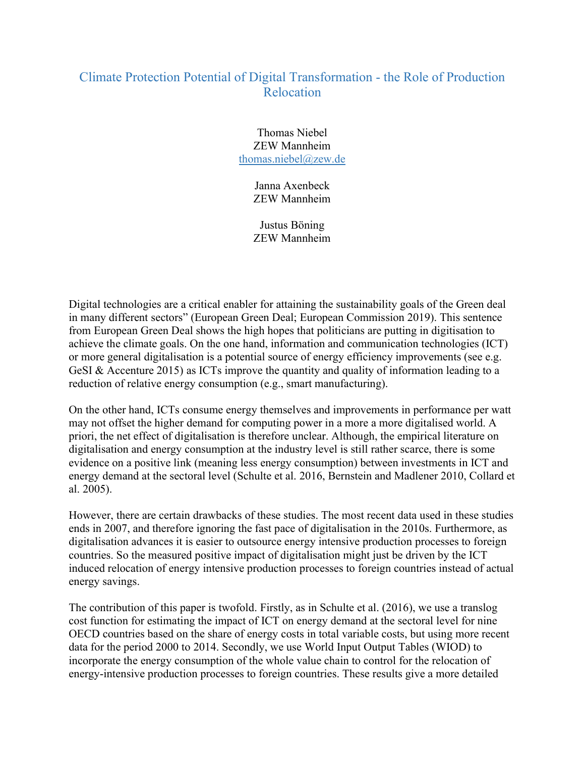## Climate Protection Potential of Digital Transformation - the Role of Production Relocation

Thomas Niebel ZEW Mannheim thomas.niebel@zew.de

> Janna Axenbeck ZEW Mannheim

Justus Böning ZEW Mannheim

Digital technologies are a critical enabler for attaining the sustainability goals of the Green deal in many different sectors" (European Green Deal; European Commission 2019). This sentence from European Green Deal shows the high hopes that politicians are putting in digitisation to achieve the climate goals. On the one hand, information and communication technologies (ICT) or more general digitalisation is a potential source of energy efficiency improvements (see e.g. GeSI & Accenture 2015) as ICTs improve the quantity and quality of information leading to a reduction of relative energy consumption (e.g., smart manufacturing).

On the other hand, ICTs consume energy themselves and improvements in performance per watt may not offset the higher demand for computing power in a more a more digitalised world. A priori, the net effect of digitalisation is therefore unclear. Although, the empirical literature on digitalisation and energy consumption at the industry level is still rather scarce, there is some evidence on a positive link (meaning less energy consumption) between investments in ICT and energy demand at the sectoral level (Schulte et al. 2016, Bernstein and Madlener 2010, Collard et al. 2005).

However, there are certain drawbacks of these studies. The most recent data used in these studies ends in 2007, and therefore ignoring the fast pace of digitalisation in the 2010s. Furthermore, as digitalisation advances it is easier to outsource energy intensive production processes to foreign countries. So the measured positive impact of digitalisation might just be driven by the ICT induced relocation of energy intensive production processes to foreign countries instead of actual energy savings.

The contribution of this paper is twofold. Firstly, as in Schulte et al. (2016), we use a translog cost function for estimating the impact of ICT on energy demand at the sectoral level for nine OECD countries based on the share of energy costs in total variable costs, but using more recent data for the period 2000 to 2014. Secondly, we use World Input Output Tables (WIOD) to incorporate the energy consumption of the whole value chain to control for the relocation of energy-intensive production processes to foreign countries. These results give a more detailed